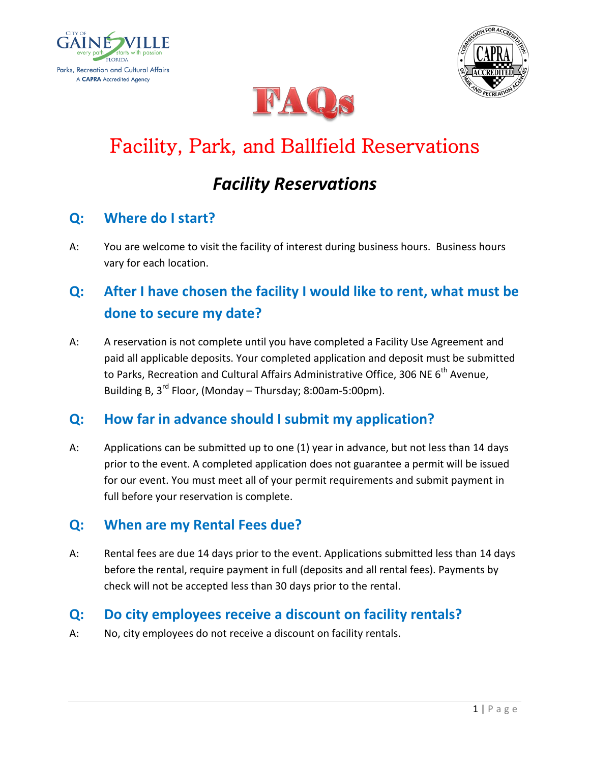





# Facility, Park, and Ballfield Reservations

## *Facility Reservations*

#### **Q: Where do I start?**

A: You are welcome to visit the facility of interest during business hours. Business hours vary for each location.

### **Q: After I have chosen the facility I would like to rent, what must be done to secure my date?**

A: A reservation is not complete until you have completed a Facility Use Agreement and paid all applicable deposits. Your completed application and deposit must be submitted to Parks, Recreation and Cultural Affairs Administrative Office, 306 NE 6<sup>th</sup> Avenue, Building B,  $3^{rd}$  Floor, (Monday – Thursday; 8:00am-5:00pm).

#### **Q: How far in advance should I submit my application?**

A: Applications can be submitted up to one (1) year in advance, but not less than 14 days prior to the event. A completed application does not guarantee a permit will be issued for our event. You must meet all of your permit requirements and submit payment in full before your reservation is complete.

#### **Q: When are my Rental Fees due?**

A: Rental fees are due 14 days prior to the event. Applications submitted less than 14 days before the rental, require payment in full (deposits and all rental fees). Payments by check will not be accepted less than 30 days prior to the rental.

#### **Q: Do city employees receive a discount on facility rentals?**

A: No, city employees do not receive a discount on facility rentals.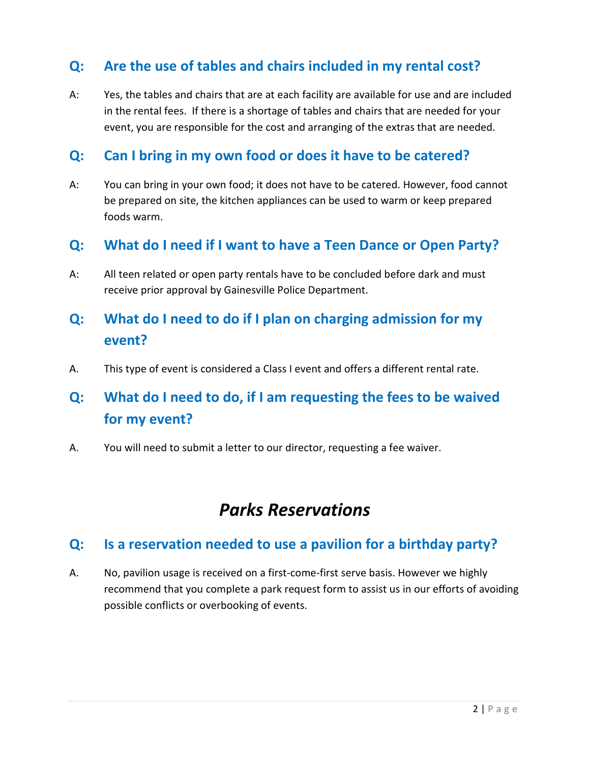#### **Q: Are the use of tables and chairs included in my rental cost?**

A: Yes, the tables and chairs that are at each facility are available for use and are included in the rental fees. If there is a shortage of tables and chairs that are needed for your event, you are responsible for the cost and arranging of the extras that are needed.

#### **Q: Can I bring in my own food or does it have to be catered?**

A: You can bring in your own food; it does not have to be catered. However, food cannot be prepared on site, the kitchen appliances can be used to warm or keep prepared foods warm.

#### **Q: What do I need if I want to have a Teen Dance or Open Party?**

A: All teen related or open party rentals have to be concluded before dark and must receive prior approval by Gainesville Police Department.

### **Q: What do I need to do if I plan on charging admission for my event?**

A. This type of event is considered a Class I event and offers a different rental rate.

### **Q: What do I need to do, if I am requesting the fees to be waived for my event?**

A. You will need to submit a letter to our director, requesting a fee waiver.

### *Parks Reservations*

#### **Q: Is a reservation needed to use a pavilion for a birthday party?**

A. No, pavilion usage is received on a first-come-first serve basis. However we highly recommend that you complete a park request form to assist us in our efforts of avoiding possible conflicts or overbooking of events.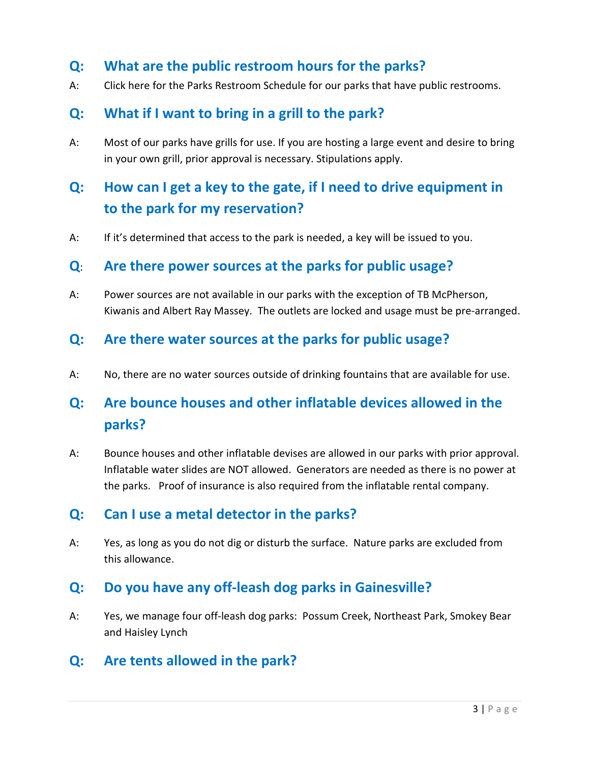#### **Q: What are the public restroom hours for the parks?**

A: Click here for the Parks Restroom Schedule for our parks that have public restrooms.

#### **Q: What if I want to bring in a grill to the park?**

A: Most of our parks have grills for use. If you are hosting a large event and desire to bring in your own grill, prior approval is necessary. Stipulations apply.

### **Q: How can I get a key to the gate, if I need to drive equipment in to the park for my reservation?**

A: If it's determined that access to the park is needed, a key will be issued to you.

#### **Q**: **Are there power sources at the parks for public usage?**

A: Power sources are not available in our parks with the exception of TB McPherson, Kiwanis and Albert Ray Massey. The outlets are locked and usage must be pre-arranged.

#### **Q: Are there water sources at the parks for public usage?**

A: No, there are no water sources outside of drinking fountains that are available for use.

### **Q: Are bounce houses and other inflatable devices allowed in the parks?**

A: Bounce houses and other inflatable devises are allowed in our parks with prior approval. Inflatable water slides are NOT allowed. Generators are needed as there is no power at the parks. Proof of insurance is also required from the inflatable rental company.

#### **Q: Can I use a metal detector in the parks?**

A: Yes, as long as you do not dig or disturb the surface. Nature parks are excluded from this allowance.

#### **Q: Do you have any off-leash dog parks in Gainesville?**

A: Yes, we manage four off-leash dog parks: Possum Creek, Northeast Park, Smokey Bear and Haisley Lynch

#### **Q: Are tents allowed in the park?**